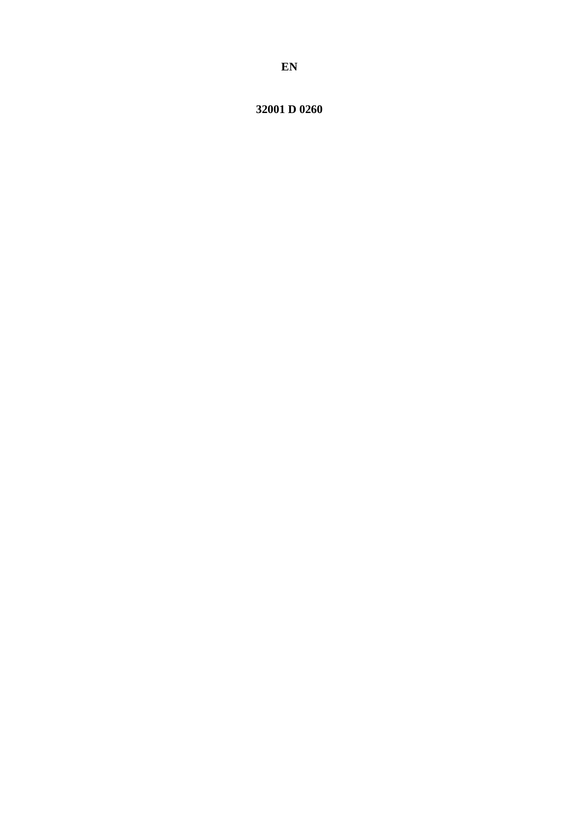32001 D 0260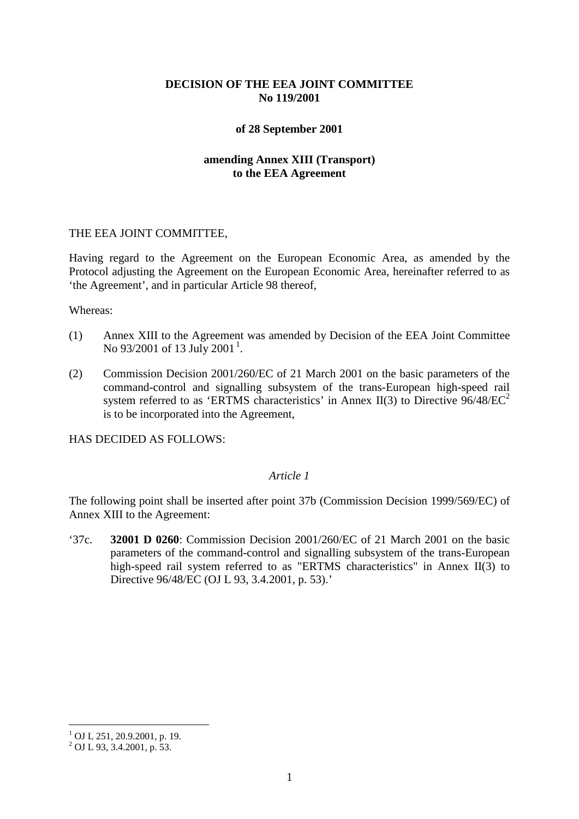# **DECISION OF THE EEA JOINT COMMITTEE No 119/2001**

## **of 28 September 2001**

# **amending Annex XIII (Transport) to the EEA Agreement**

#### THE EEA JOINT COMMITTEE,

Having regard to the Agreement on the European Economic Area, as amended by the Protocol adjusting the Agreement on the European Economic Area, hereinafter referred to as 'the Agreement', and in particular Article 98 thereof,

#### Whereas:

- (1) Annex XIII to the Agreement was amended by Decision of the EEA Joint Committee No 93/200[1](#page-1-0) of 13 July 2001<sup>1</sup>.
- (2) Commission Decision 2001/260/EC of 21 March 2001 on the basic parameters of the command-control and signalling subsystem of the trans-European high-speed rail system referred to as 'ERTMS characteristics' in Annex II(3) to Directive  $96/48/EC^2$ is to be incorporated into the Agreement,

HAS DECIDED AS FOLLOWS:

## *Article 1*

The following point shall be inserted after point 37b (Commission Decision 1999/569/EC) of Annex XIII to the Agreement:

'37c. **32001 D 0260**: Commission Decision 2001/260/EC of 21 March 2001 on the basic parameters of the command-control and signalling subsystem of the trans-European high-speed rail system referred to as "ERTMS characteristics" in Annex II(3) to Directive 96/48/EC (OJ L 93, 3.4.2001, p. 53).'

 $1$  OJ L 251, 20.9.2001, p. 19.

<span id="page-1-0"></span> $^{2}$  OJ L 93, 3.4.2001, p. 53.